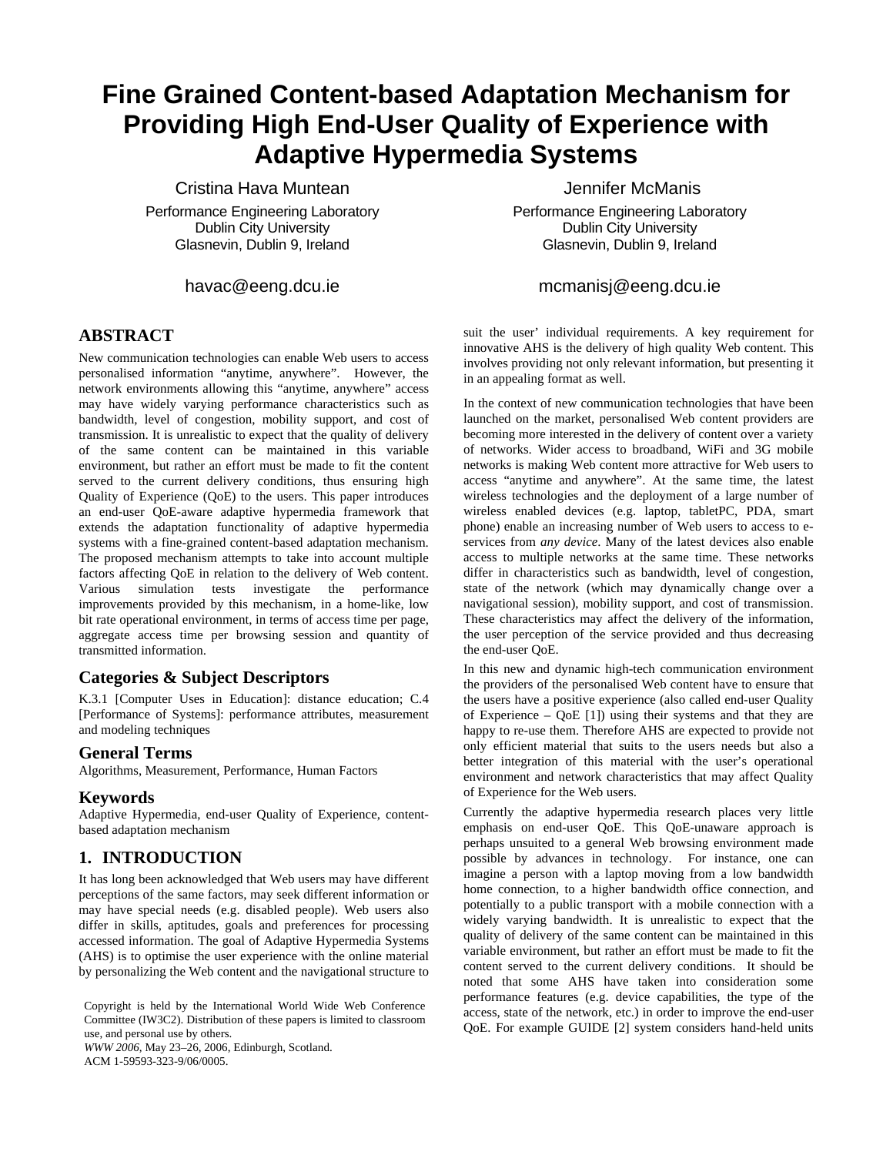# **Fine Grained Content-based Adaptation Mechanism for Providing High End-User Quality of Experience with Adaptive Hypermedia Systems**

Cristina Hava Muntean

Performance Engineering Laboratory Dublin City University Glasnevin, Dublin 9, Ireland

havac@eeng.dcu.ie

# **ABSTRACT**

New communication technologies can enable Web users to access personalised information "anytime, anywhere". However, the network environments allowing this "anytime, anywhere" access may have widely varying performance characteristics such as bandwidth, level of congestion, mobility support, and cost of transmission. It is unrealistic to expect that the quality of delivery of the same content can be maintained in this variable environment, but rather an effort must be made to fit the content served to the current delivery conditions, thus ensuring high Quality of Experience (QoE) to the users. This paper introduces an end-user QoE-aware adaptive hypermedia framework that extends the adaptation functionality of adaptive hypermedia systems with a fine-grained content-based adaptation mechanism. The proposed mechanism attempts to take into account multiple factors affecting QoE in relation to the delivery of Web content. Various simulation tests investigate the performance improvements provided by this mechanism, in a home-like, low bit rate operational environment, in terms of access time per page, aggregate access time per browsing session and quantity of transmitted information.

## **Categories & Subject Descriptors**

K.3.1 [Computer Uses in Education]: distance education; C.4 [Performance of Systems]: performance attributes, measurement and modeling techniques

## **General Terms**

Algorithms, Measurement, Performance, Human Factors

#### **Keywords**

Adaptive Hypermedia, end-user Quality of Experience, contentbased adaptation mechanism

## **1. INTRODUCTION**

It has long been acknowledged that Web users may have different perceptions of the same factors, may seek different information or may have special needs (e.g. disabled people). Web users also differ in skills, aptitudes, goals and preferences for processing accessed information. The goal of Adaptive Hypermedia Systems (AHS) is to optimise the user experience with the online material by personalizing the Web content and the navigational structure to

ACM 1-59593-323-9/06/0005.

Jennifer McManis

Performance Engineering Laboratory Dublin City University Glasnevin, Dublin 9, Ireland

# mcmanisj@eeng.dcu.ie

suit the user' individual requirements. A key requirement for innovative AHS is the delivery of high quality Web content. This involves providing not only relevant information, but presenting it in an appealing format as well.

In the context of new communication technologies that have been launched on the market, personalised Web content providers are becoming more interested in the delivery of content over a variety of networks. Wider access to broadband, WiFi and 3G mobile networks is making Web content more attractive for Web users to access "anytime and anywhere". At the same time, the latest wireless technologies and the deployment of a large number of wireless enabled devices (e.g. laptop, tabletPC, PDA, smart phone) enable an increasing number of Web users to access to eservices from *any device*. Many of the latest devices also enable access to multiple networks at the same time. These networks differ in characteristics such as bandwidth, level of congestion, state of the network (which may dynamically change over a navigational session), mobility support, and cost of transmission. These characteristics may affect the delivery of the information, the user perception of the service provided and thus decreasing the end-user QoE.

In this new and dynamic high-tech communication environment the providers of the personalised Web content have to ensure that the users have a positive experience (also called end-user Quality of Experience – QoE [1]) using their systems and that they are happy to re-use them. Therefore AHS are expected to provide not only efficient material that suits to the users needs but also a better integration of this material with the user's operational environment and network characteristics that may affect Quality of Experience for the Web users.

Currently the adaptive hypermedia research places very little emphasis on end-user QoE. This QoE-unaware approach is perhaps unsuited to a general Web browsing environment made possible by advances in technology. For instance, one can imagine a person with a laptop moving from a low bandwidth home connection, to a higher bandwidth office connection, and potentially to a public transport with a mobile connection with a widely varying bandwidth. It is unrealistic to expect that the quality of delivery of the same content can be maintained in this variable environment, but rather an effort must be made to fit the content served to the current delivery conditions. It should be noted that some AHS have taken into consideration some performance features (e.g. device capabilities, the type of the access, state of the network, etc.) in order to improve the end-user QoE. For example GUIDE [2] system considers hand-held units

Copyright is held by the International World Wide Web Conference Committee (IW3C2). Distribution of these papers is limited to classroom use, and personal use by others. *WWW 2006,* May 23–26, 2006, Edinburgh, Scotland.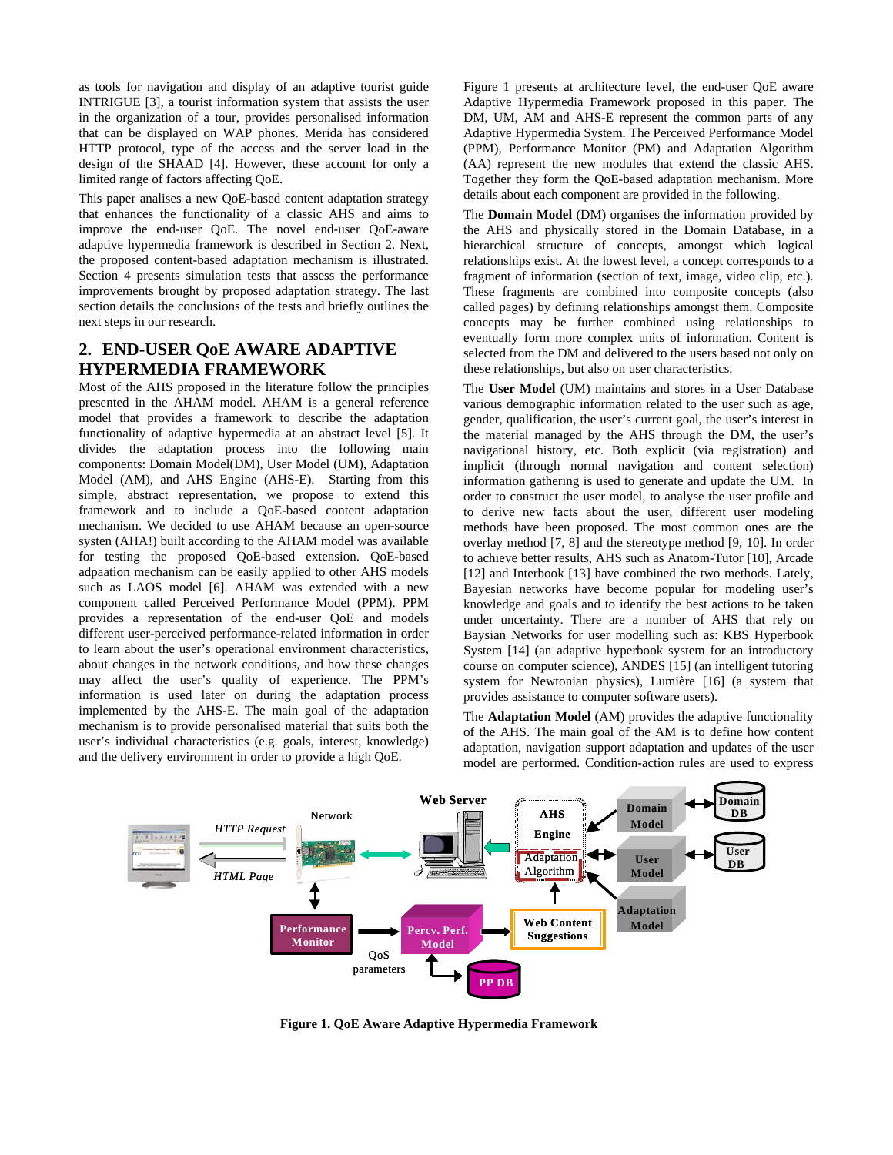as tools for navigation and display of an adaptive tourist guide INTRIGUE [3], a tourist information system that assists the user in the organization of a tour, provides personalised information that can be displayed on WAP phones. Merida has considered HTTP protocol, type of the access and the server load in the design of the SHAAD [4]. However, these account for only a limited range of factors affecting QoE.

This paper analises a new QoE-based content adaptation strategy that enhances the functionality of a classic AHS and aims to improve the end-user QoE. The novel end-user QoE-aware adaptive hypermedia framework is described in Section 2. Next, the proposed content-based adaptation mechanism is illustrated. Section 4 presents simulation tests that assess the performance improvements brought by proposed adaptation strategy. The last section details the conclusions of the tests and briefly outlines the next steps in our research.

# **2. END-USER QoE AWARE ADAPTIVE HYPERMEDIA FRAMEWORK**

Most of the AHS proposed in the literature follow the principles presented in the AHAM model. AHAM is a general reference model that provides a framework to describe the adaptation functionality of adaptive hypermedia at an abstract level [5]. It divides the adaptation process into the following main components: Domain Model(DM), User Model (UM), Adaptation Model (AM), and AHS Engine (AHS-E). Starting from this simple, abstract representation, we propose to extend this framework and to include a QoE-based content adaptation mechanism. We decided to use AHAM because an open-source systen (AHA!) built according to the AHAM model was available for testing the proposed QoE-based extension. QoE-based adpaation mechanism can be easily applied to other AHS models such as LAOS model [6]. AHAM was extended with a new component called Perceived Performance Model (PPM). PPM provides a representation of the end-user QoE and models different user-perceived performance-related information in order to learn about the user's operational environment characteristics, about changes in the network conditions, and how these changes may affect the user's quality of experience. The PPM's information is used later on during the adaptation process implemented by the AHS-E. The main goal of the adaptation mechanism is to provide personalised material that suits both the user's individual characteristics (e.g. goals, interest, knowledge) and the delivery environment in order to provide a high QoE.

Figure 1 presents at architecture level, the end-user QoE aware Adaptive Hypermedia Framework proposed in this paper. The DM, UM, AM and AHS-E represent the common parts of any Adaptive Hypermedia System. The Perceived Performance Model (PPM), Performance Monitor (PM) and Adaptation Algorithm (AA) represent the new modules that extend the classic AHS. Together they form the QoE-based adaptation mechanism. More details about each component are provided in the following.

The **Domain Model** (DM) organises the information provided by the AHS and physically stored in the Domain Database, in a hierarchical structure of concepts, amongst which logical relationships exist. At the lowest level, a concept corresponds to a fragment of information (section of text, image, video clip, etc.). These fragments are combined into composite concepts (also called pages) by defining relationships amongst them. Composite concepts may be further combined using relationships to eventually form more complex units of information. Content is selected from the DM and delivered to the users based not only on these relationships, but also on user characteristics.

The **User Model** (UM) maintains and stores in a User Database various demographic information related to the user such as age, gender, qualification, the user's current goal, the user's interest in the material managed by the AHS through the DM, the user's navigational history, etc. Both explicit (via registration) and implicit (through normal navigation and content selection) information gathering is used to generate and update the UM. In order to construct the user model, to analyse the user profile and to derive new facts about the user, different user modeling methods have been proposed. The most common ones are the overlay method [7, 8] and the stereotype method [9, 10]. In order to achieve better results, AHS such as Anatom-Tutor [10], Arcade [12] and Interbook [13] have combined the two methods. Lately, Bayesian networks have become popular for modeling user's knowledge and goals and to identify the best actions to be taken under uncertainty. There are a number of AHS that rely on Baysian Networks for user modelling such as: KBS Hyperbook System [14] (an adaptive hyperbook system for an introductory course on computer science), ANDES [15] (an intelligent tutoring system for Newtonian physics), Lumière [16] (a system that provides assistance to computer software users).

The **Adaptation Model** (AM) provides the adaptive functionality of the AHS. The main goal of the AM is to define how content adaptation, navigation support adaptation and updates of the user model are performed. Condition-action rules are used to express



**Figure 1. QoE Aware Adaptive Hypermedia Framework**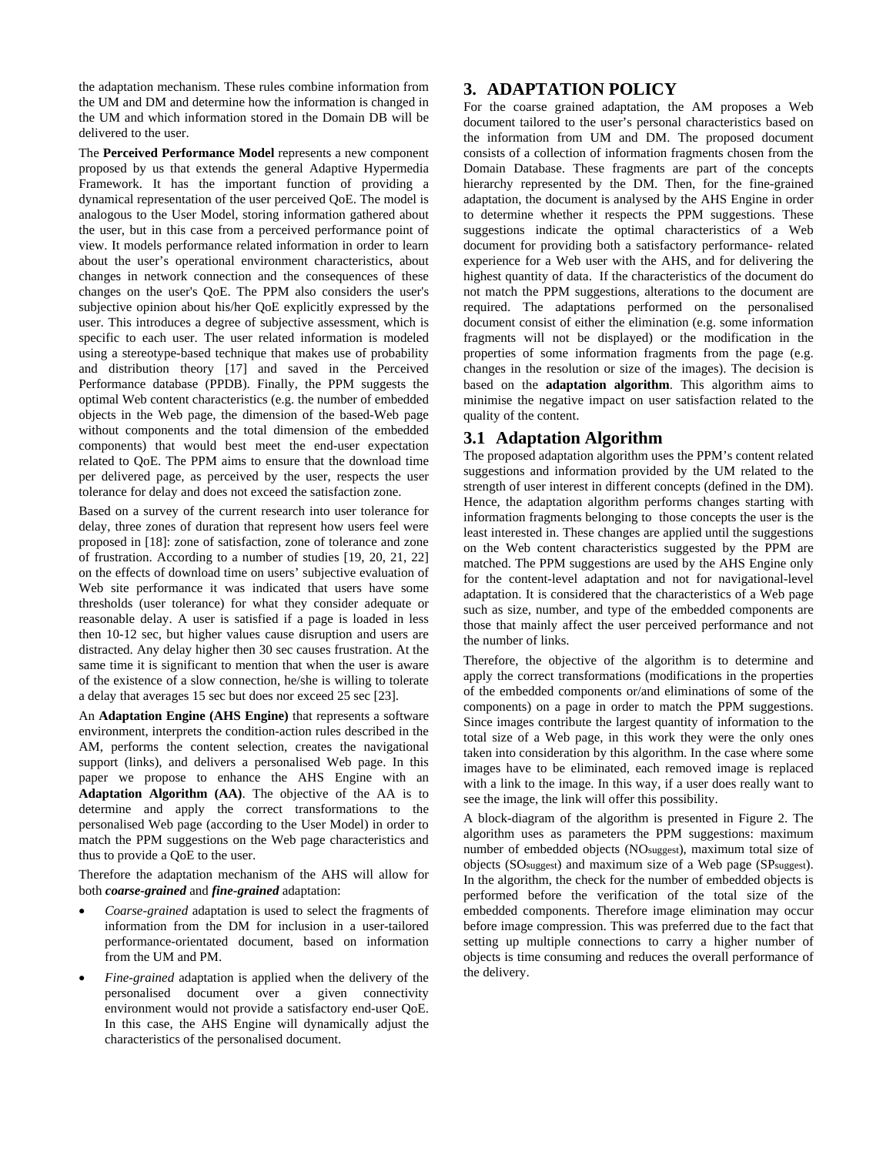the adaptation mechanism. These rules combine information from the UM and DM and determine how the information is changed in the UM and which information stored in the Domain DB will be delivered to the user.

The **Perceived Performance Model** represents a new component proposed by us that extends the general Adaptive Hypermedia Framework. It has the important function of providing a dynamical representation of the user perceived QoE. The model is analogous to the User Model, storing information gathered about the user, but in this case from a perceived performance point of view. It models performance related information in order to learn about the user's operational environment characteristics, about changes in network connection and the consequences of these changes on the user's QoE. The PPM also considers the user's subjective opinion about his/her QoE explicitly expressed by the user. This introduces a degree of subjective assessment, which is specific to each user. The user related information is modeled using a stereotype-based technique that makes use of probability and distribution theory [17] and saved in the Perceived Performance database (PPDB). Finally, the PPM suggests the optimal Web content characteristics (e.g. the number of embedded objects in the Web page, the dimension of the based-Web page without components and the total dimension of the embedded components) that would best meet the end-user expectation related to QoE. The PPM aims to ensure that the download time per delivered page, as perceived by the user, respects the user tolerance for delay and does not exceed the satisfaction zone.

Based on a survey of the current research into user tolerance for delay, three zones of duration that represent how users feel were proposed in [18]: zone of satisfaction, zone of tolerance and zone of frustration. According to a number of studies [19, 20, 21, 22] on the effects of download time on users' subjective evaluation of Web site performance it was indicated that users have some thresholds (user tolerance) for what they consider adequate or reasonable delay. A user is satisfied if a page is loaded in less then 10-12 sec, but higher values cause disruption and users are distracted. Any delay higher then 30 sec causes frustration. At the same time it is significant to mention that when the user is aware of the existence of a slow connection, he/she is willing to tolerate a delay that averages 15 sec but does nor exceed 25 sec [23].

An **Adaptation Engine (AHS Engine)** that represents a software environment, interprets the condition-action rules described in the AM, performs the content selection, creates the navigational support (links), and delivers a personalised Web page. In this paper we propose to enhance the AHS Engine with an **Adaptation Algorithm (AA)**. The objective of the AA is to determine and apply the correct transformations to the personalised Web page (according to the User Model) in order to match the PPM suggestions on the Web page characteristics and thus to provide a QoE to the user.

Therefore the adaptation mechanism of the AHS will allow for both *coarse-grained* and *fine-grained* adaptation:

- *Coarse-grained* adaptation is used to select the fragments of information from the DM for inclusion in a user-tailored performance-orientated document, based on information from the UM and PM.
- *Fine-grained* adaptation is applied when the delivery of the personalised document over a given connectivity environment would not provide a satisfactory end-user QoE. In this case, the AHS Engine will dynamically adjust the characteristics of the personalised document.

# **3. ADAPTATION POLICY**

For the coarse grained adaptation, the AM proposes a Web document tailored to the user's personal characteristics based on the information from UM and DM. The proposed document consists of a collection of information fragments chosen from the Domain Database. These fragments are part of the concepts hierarchy represented by the DM. Then, for the fine-grained adaptation, the document is analysed by the AHS Engine in order to determine whether it respects the PPM suggestions. These suggestions indicate the optimal characteristics of a Web document for providing both a satisfactory performance- related experience for a Web user with the AHS, and for delivering the highest quantity of data. If the characteristics of the document do not match the PPM suggestions, alterations to the document are required. The adaptations performed on the personalised document consist of either the elimination (e.g. some information fragments will not be displayed) or the modification in the properties of some information fragments from the page (e.g. changes in the resolution or size of the images). The decision is based on the **adaptation algorithm**. This algorithm aims to minimise the negative impact on user satisfaction related to the quality of the content.

## **3.1 Adaptation Algorithm**

The proposed adaptation algorithm uses the PPM's content related suggestions and information provided by the UM related to the strength of user interest in different concepts (defined in the DM). Hence, the adaptation algorithm performs changes starting with information fragments belonging to those concepts the user is the least interested in. These changes are applied until the suggestions on the Web content characteristics suggested by the PPM are matched. The PPM suggestions are used by the AHS Engine only for the content-level adaptation and not for navigational-level adaptation. It is considered that the characteristics of a Web page such as size, number, and type of the embedded components are those that mainly affect the user perceived performance and not the number of links.

Therefore, the objective of the algorithm is to determine and apply the correct transformations (modifications in the properties of the embedded components or/and eliminations of some of the components) on a page in order to match the PPM suggestions. Since images contribute the largest quantity of information to the total size of a Web page, in this work they were the only ones taken into consideration by this algorithm. In the case where some images have to be eliminated, each removed image is replaced with a link to the image. In this way, if a user does really want to see the image, the link will offer this possibility.

A block-diagram of the algorithm is presented in Figure 2. The algorithm uses as parameters the PPM suggestions: maximum number of embedded objects (NOsuggest), maximum total size of objects (SOsuggest) and maximum size of a Web page (SPsuggest). In the algorithm, the check for the number of embedded objects is performed before the verification of the total size of the embedded components. Therefore image elimination may occur before image compression. This was preferred due to the fact that setting up multiple connections to carry a higher number of objects is time consuming and reduces the overall performance of the delivery.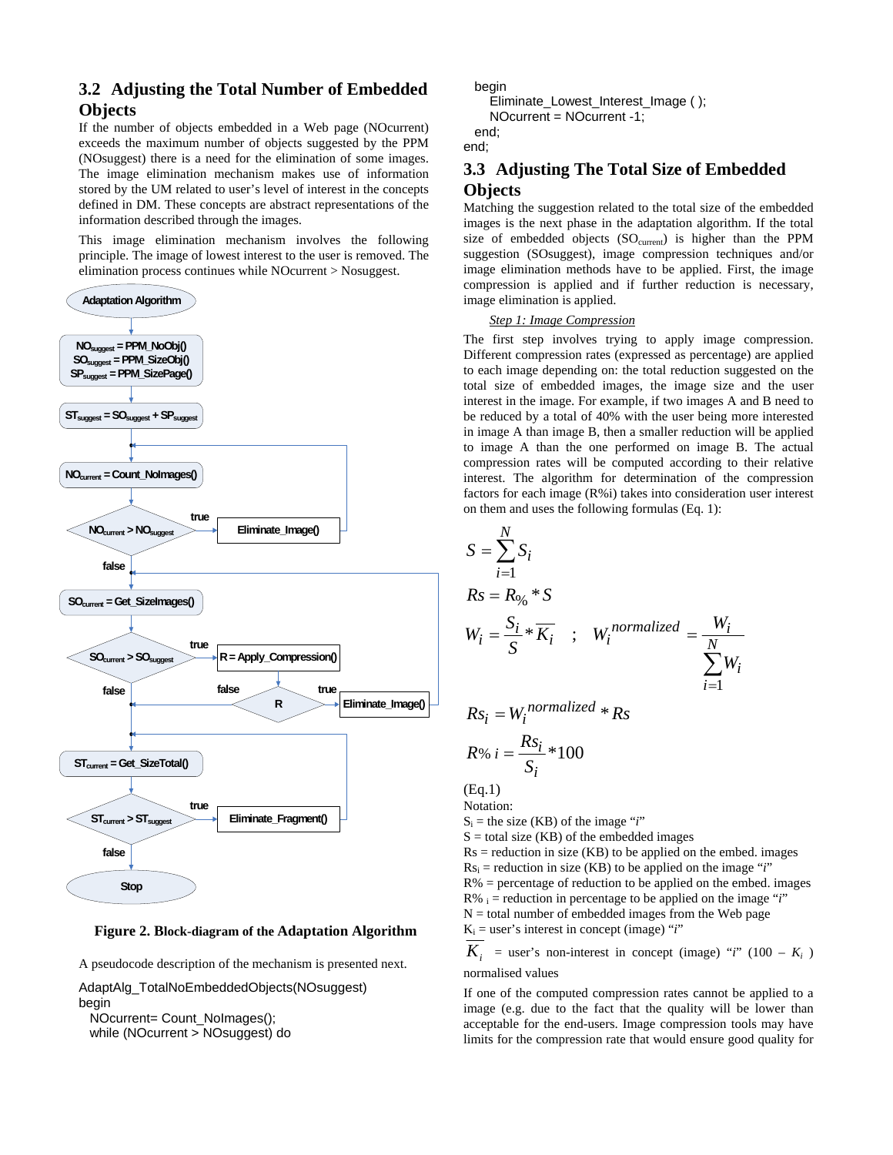# **3.2 Adjusting the Total Number of Embedded Objects**

If the number of objects embedded in a Web page (NOcurrent) exceeds the maximum number of objects suggested by the PPM (NOsuggest) there is a need for the elimination of some images. The image elimination mechanism makes use of information stored by the UM related to user's level of interest in the concepts defined in DM. These concepts are abstract representations of the information described through the images.

This image elimination mechanism involves the following principle. The image of lowest interest to the user is removed. The elimination process continues while NOcurrent > Nosuggest.



#### **Figure 2. Block-diagram of the Adaptation Algorithm**

A pseudocode description of the mechanism is presented next.

AdaptAlg\_TotalNoEmbeddedObjects(NOsuggest) begin

NOcurrent= Count\_NoImages();

while (NOcurrent > NOsuggest) do

begin

Eliminate\_Lowest\_Interest\_Image ( ); NOcurrent = NOcurrent -1; end;

end;

# **3.3 Adjusting The Total Size of Embedded Objects**

Matching the suggestion related to the total size of the embedded images is the next phase in the adaptation algorithm. If the total size of embedded objects  $(SO_{\text{current}})$  is higher than the PPM suggestion (SOsuggest), image compression techniques and/or image elimination methods have to be applied. First, the image compression is applied and if further reduction is necessary, image elimination is applied.

#### *Step 1: Image Compression*

The first step involves trying to apply image compression. Different compression rates (expressed as percentage) are applied to each image depending on: the total reduction suggested on the total size of embedded images, the image size and the user interest in the image. For example, if two images A and B need to be reduced by a total of 40% with the user being more interested in image A than image B, then a smaller reduction will be applied to image A than the one performed on image B. The actual compression rates will be computed according to their relative interest. The algorithm for determination of the compression factors for each image (R%i) takes into consideration user interest on them and uses the following formulas (Eq. 1):

$$
S = \sum_{i=1}^{N} S_i
$$
  
\n
$$
Rs = R_{\%} * S
$$
  
\n
$$
W_i = \frac{S_i}{S} * \overline{K_i} \quad ; \quad W_i^{normalized} = \frac{W_i}{\sum_{i=1}^{N} W_i}
$$
  
\n
$$
Rs_i = W_i^{normalized} * Rs
$$

$$
R\% i = \frac{Rs_i}{S_i} * 100
$$

(Eq.1)

Notation:  $S_i$  = the size (KB) of the image "*i*"

 $S =$  total size (KB) of the embedded images

 $Rs = reduction in size (KB) to be applied on the embed. images$  $Rs_i$  = reduction in size (KB) to be applied on the image "*i*"  $R%$  = percentage of reduction to be applied on the embed. images  $R\%$  i = reduction in percentage to be applied on the image "*i*"  $N =$  total number of embedded images from the Web page  $K_i$  = user's interest in concept (image) "*i*"

 $K_i$  = user's non-interest in concept (image) "*i*" (100 –  $K_i$ ) normalised values

If one of the computed compression rates cannot be applied to a image (e.g. due to the fact that the quality will be lower than acceptable for the end-users. Image compression tools may have limits for the compression rate that would ensure good quality for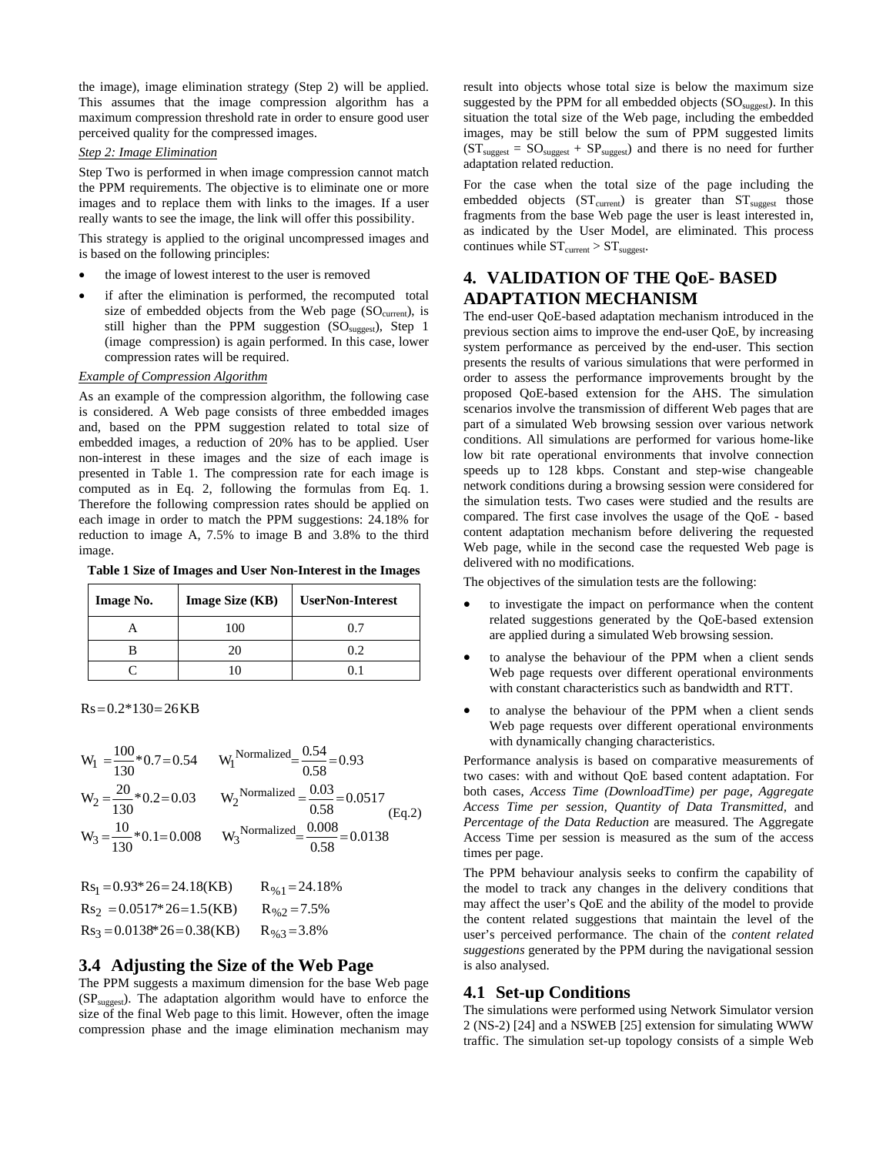the image), image elimination strategy (Step 2) will be applied. This assumes that the image compression algorithm has a maximum compression threshold rate in order to ensure good user perceived quality for the compressed images.

#### *Step 2: Image Elimination*

Step Two is performed in when image compression cannot match the PPM requirements. The objective is to eliminate one or more images and to replace them with links to the images. If a user really wants to see the image, the link will offer this possibility.

This strategy is applied to the original uncompressed images and is based on the following principles:

- the image of lowest interest to the user is removed
- if after the elimination is performed, the recomputed total size of embedded objects from the Web page  $(SO_{\text{current}})$ , is still higher than the PPM suggestion  $(SO<sub>suggest</sub>)$ , Step 1 (image compression) is again performed. In this case, lower compression rates will be required.

#### *Example of Compression Algorithm*

As an example of the compression algorithm, the following case is considered. A Web page consists of three embedded images and, based on the PPM suggestion related to total size of embedded images, a reduction of 20% has to be applied. User non-interest in these images and the size of each image is presented in Table 1. The compression rate for each image is computed as in Eq. 2, following the formulas from Eq. 1. Therefore the following compression rates should be applied on each image in order to match the PPM suggestions: 24.18% for reduction to image A, 7.5% to image B and 3.8% to the third image.

**Table 1 Size of Images and User Non-Interest in the Images** 

| <b>Image No.</b> | <b>Image Size (KB)</b> | <b>UserNon-Interest</b> |
|------------------|------------------------|-------------------------|
|                  | 100                    | 0.7                     |
|                  |                        | 0.2                     |
|                  |                        |                         |

 $Rs = 0.2*130 = 26KB$ 

$$
W_1 = \frac{100}{130} * 0.7 = 0.54
$$
  
\n
$$
W_2 = \frac{20}{130} * 0.2 = 0.03
$$
  
\n
$$
W_3 = \frac{10}{130} * 0.1 = 0.008
$$
  
\n
$$
W_3^{\text{Normalized}} = \frac{0.03}{0.58} = 0.0517
$$
  
\n
$$
W_3 = \frac{10}{130} * 0.1 = 0.008
$$
  
\n
$$
W_3^{\text{Normalized}} = \frac{0.008}{0.58} = 0.0138
$$

| $Rs_1 = 0.93 \times 26 = 24.18(KB)$ | $R_{\frac{9}{1}} = 24.18\%$ |
|-------------------------------------|-----------------------------|
| $Rs_2 = 0.0517*26=1.5(KB)$          | $R_{\frac{9}{2}} = 7.5\%$   |
| $Rs_3 = 0.0138*26 = 0.38(KB)$       | $R_{\frac{9}{6}3} = 3.8\%$  |

#### **3.4 Adjusting the Size of the Web Page**

The PPM suggests a maximum dimension for the base Web page (SPsuggest). The adaptation algorithm would have to enforce the size of the final Web page to this limit. However, often the image compression phase and the image elimination mechanism may result into objects whose total size is below the maximum size suggested by the PPM for all embedded objects (SO<sub>suggest</sub>). In this situation the total size of the Web page, including the embedded images, may be still below the sum of PPM suggested limits  $(ST<sub>suggest</sub> = SO<sub>suggest</sub> + SP<sub>suggest</sub>)$  and there is no need for further adaptation related reduction.

For the case when the total size of the page including the embedded objects  $(ST_{current})$  is greater than  $ST_{suggest}$  those fragments from the base Web page the user is least interested in, as indicated by the User Model, are eliminated. This process continues while  $ST_{current} > ST_{supgest}$ .

# **4. VALIDATION OF THE QoE- BASED ADAPTATION MECHANISM**

The end-user QoE-based adaptation mechanism introduced in the previous section aims to improve the end-user QoE, by increasing system performance as perceived by the end-user. This section presents the results of various simulations that were performed in order to assess the performance improvements brought by the proposed QoE-based extension for the AHS. The simulation scenarios involve the transmission of different Web pages that are part of a simulated Web browsing session over various network conditions. All simulations are performed for various home-like low bit rate operational environments that involve connection speeds up to 128 kbps. Constant and step-wise changeable network conditions during a browsing session were considered for the simulation tests. Two cases were studied and the results are compared. The first case involves the usage of the QoE - based content adaptation mechanism before delivering the requested Web page, while in the second case the requested Web page is delivered with no modifications.

The objectives of the simulation tests are the following:

- to investigate the impact on performance when the content related suggestions generated by the QoE-based extension are applied during a simulated Web browsing session.
- to analyse the behaviour of the PPM when a client sends Web page requests over different operational environments with constant characteristics such as bandwidth and RTT.
- to analyse the behaviour of the PPM when a client sends Web page requests over different operational environments with dynamically changing characteristics.

Performance analysis is based on comparative measurements of two cases: with and without QoE based content adaptation. For both cases, *Access Time (DownloadTime) per page, Aggregate Access Time per session, Quantity of Data Transmitted,* and *Percentage of the Data Reduction* are measured. The Aggregate Access Time per session is measured as the sum of the access times per page.

The PPM behaviour analysis seeks to confirm the capability of the model to track any changes in the delivery conditions that may affect the user's QoE and the ability of the model to provide the content related suggestions that maintain the level of the user's perceived performance. The chain of the *content related suggestions* generated by the PPM during the navigational session is also analysed.

## **4.1 Set-up Conditions**

The simulations were performed using Network Simulator version 2 (NS-2) [24] and a NSWEB [25] extension for simulating WWW traffic. The simulation set-up topology consists of a simple Web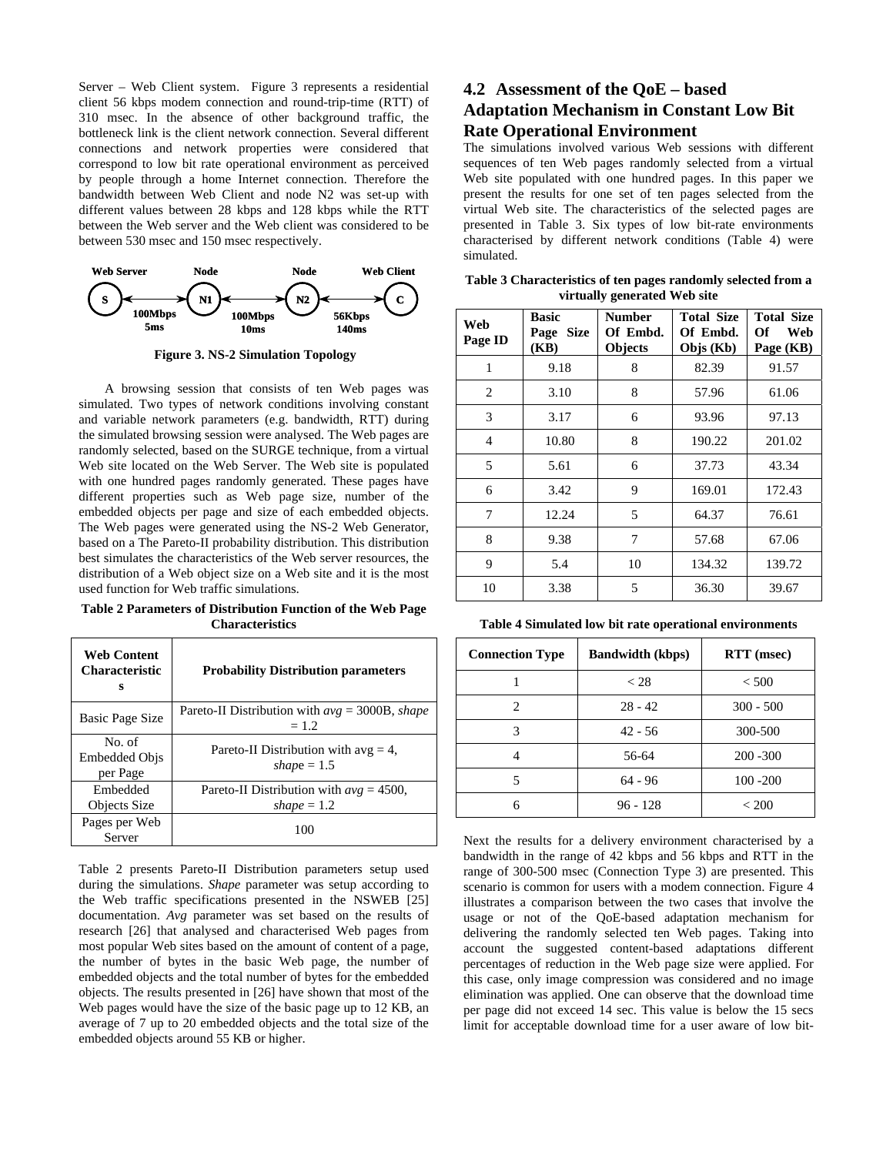Server – Web Client system. Figure 3 represents a residential client 56 kbps modem connection and round-trip-time (RTT) of 310 msec. In the absence of other background traffic, the bottleneck link is the client network connection. Several different connections and network properties were considered that correspond to low bit rate operational environment as perceived by people through a home Internet connection. Therefore the bandwidth between Web Client and node N2 was set-up with different values between 28 kbps and 128 kbps while the RTT between the Web server and the Web client was considered to be between 530 msec and 150 msec respectively.



**Figure 3. NS-2 Simulation Topology** 

A browsing session that consists of ten Web pages was simulated. Two types of network conditions involving constant and variable network parameters (e.g. bandwidth, RTT) during the simulated browsing session were analysed. The Web pages are randomly selected, based on the SURGE technique, from a virtual Web site located on the Web Server. The Web site is populated with one hundred pages randomly generated. These pages have different properties such as Web page size, number of the embedded objects per page and size of each embedded objects. The Web pages were generated using the NS-2 Web Generator, based on a The Pareto-II probability distribution. This distribution best simulates the characteristics of the Web server resources, the distribution of a Web object size on a Web site and it is the most used function for Web traffic simulations.

**Table 2 Parameters of Distribution Function of the Web Page Characteristics** 

| <b>Web Content</b><br><b>Characteristic</b><br>s | <b>Probability Distribution parameters</b>                   |
|--------------------------------------------------|--------------------------------------------------------------|
| <b>Basic Page Size</b>                           | Pareto-II Distribution with $avg = 3000B$ , shape<br>$= 1.2$ |
| No. of<br>Embedded Objs<br>per Page              | Pareto-II Distribution with $avg = 4$ ,<br>shape $= 1.5$     |
| Embedded<br>Objects Size                         | Pareto-II Distribution with $avg = 4500$ ,<br>shape $= 1.2$  |
| Pages per Web<br>Server                          | 100                                                          |

Table 2 presents Pareto-II Distribution parameters setup used during the simulations. *Shape* parameter was setup according to the Web traffic specifications presented in the NSWEB [25] documentation. *Avg* parameter was set based on the results of research [26] that analysed and characterised Web pages from most popular Web sites based on the amount of content of a page, the number of bytes in the basic Web page, the number of embedded objects and the total number of bytes for the embedded objects. The results presented in [26] have shown that most of the Web pages would have the size of the basic page up to 12 KB, an average of 7 up to 20 embedded objects and the total size of the embedded objects around 55 KB or higher.

# **4.2 Assessment of the QoE – based Adaptation Mechanism in Constant Low Bit Rate Operational Environment**

The simulations involved various Web sessions with different sequences of ten Web pages randomly selected from a virtual Web site populated with one hundred pages. In this paper we present the results for one set of ten pages selected from the virtual Web site. The characteristics of the selected pages are presented in Table 3. Six types of low bit-rate environments characterised by different network conditions (Table 4) were simulated.

**Table 3 Characteristics of ten pages randomly selected from a virtually generated Web site** 

| Web<br>Page ID | <b>Basic</b><br><b>Size</b><br>Page<br>(KB) | Number<br>Of Embd.<br>Objects | <b>Total Size</b><br>Of Embd.<br>Objs (Kb) | <b>Total Size</b><br>Web<br>Оf<br>Page (KB) |
|----------------|---------------------------------------------|-------------------------------|--------------------------------------------|---------------------------------------------|
| 1              | 9.18                                        | 8                             | 82.39                                      | 91.57                                       |
| 2              | 3.10                                        | 8                             | 57.96                                      | 61.06                                       |
| 3              | 3.17                                        | 6                             | 93.96                                      | 97.13                                       |
| 4              | 10.80                                       | 8                             | 190.22                                     | 201.02                                      |
| 5              | 5.61                                        | 6                             | 37.73                                      | 43.34                                       |
| 6              | 3.42                                        | 9                             | 169.01                                     | 172.43                                      |
| 7              | 12.24                                       | 5                             | 64.37                                      | 76.61                                       |
| 8              | 9.38                                        | 7                             | 57.68                                      | 67.06                                       |
| 9              | 5.4                                         | 10                            | 134.32                                     | 139.72                                      |
| 10             | 3.38                                        | 5                             | 36.30                                      | 39.67                                       |

**Table 4 Simulated low bit rate operational environments** 

| <b>Connection Type</b> | <b>Bandwidth</b> (kbps) | RTT (msec)  |
|------------------------|-------------------------|-------------|
|                        | $<$ 28                  | < 500       |
| 2                      | $28 - 42$               | $300 - 500$ |
| 3                      | $42 - 56$               | 300-500     |
| 4                      | 56-64                   | $200 - 300$ |
| 5                      | $64 - 96$               | $100 - 200$ |
| 6                      | $96 - 128$              | ${}< 200$   |

Next the results for a delivery environment characterised by a bandwidth in the range of 42 kbps and 56 kbps and RTT in the range of 300-500 msec (Connection Type 3) are presented. This scenario is common for users with a modem connection. Figure 4 illustrates a comparison between the two cases that involve the usage or not of the QoE-based adaptation mechanism for delivering the randomly selected ten Web pages. Taking into account the suggested content-based adaptations different percentages of reduction in the Web page size were applied. For this case, only image compression was considered and no image elimination was applied. One can observe that the download time per page did not exceed 14 sec. This value is below the 15 secs limit for acceptable download time for a user aware of low bit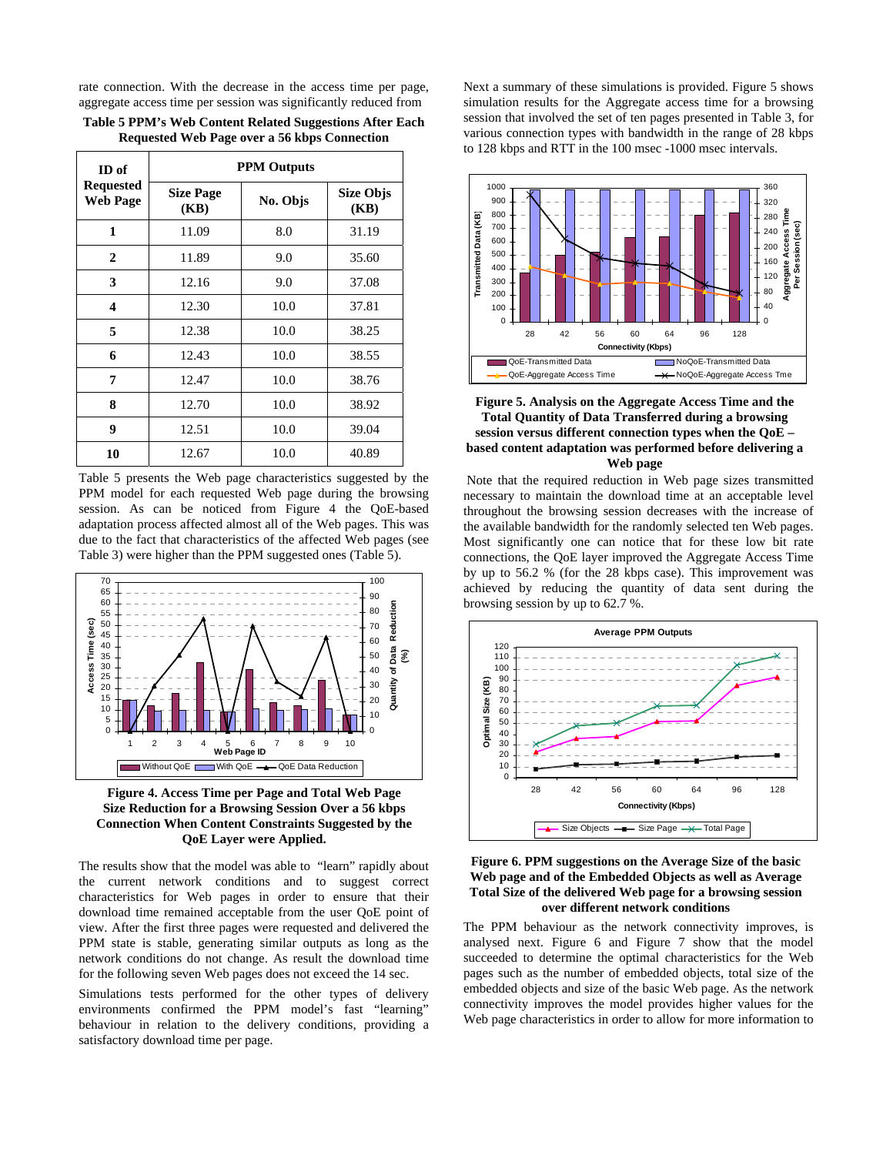rate connection. With the decrease in the access time per page, aggregate access time per session was significantly reduced from

**Table 5 PPM's Web Content Related Suggestions After Each Requested Web Page over a 56 kbps Connection** 

| ID of                               | <b>PPM Outputs</b>       |          |                          |  |
|-------------------------------------|--------------------------|----------|--------------------------|--|
| <b>Requested</b><br><b>Web Page</b> | <b>Size Page</b><br>(KB) | No. Objs | <b>Size Objs</b><br>(KB) |  |
| 1                                   | 11.09                    | 8.0      | 31.19                    |  |
| $\mathbf{2}$                        | 11.89                    | 9.0      | 35.60                    |  |
| 3                                   | 12.16                    | 9.0      | 37.08                    |  |
| 4                                   | 12.30                    | 10.0     | 37.81                    |  |
| 5                                   | 12.38                    | 10.0     | 38.25                    |  |
| 6                                   | 12.43                    | 10.0     | 38.55                    |  |
| 7                                   | 12.47                    | 10.0     | 38.76                    |  |
| 8                                   | 12.70                    | 10.0     | 38.92                    |  |
| 9                                   | 12.51                    | 10.0     | 39.04                    |  |
| 10                                  | 12.67                    | 10.0     | 40.89                    |  |

Table 5 presents the Web page characteristics suggested by the PPM model for each requested Web page during the browsing session. As can be noticed from Figure 4 the QoE-based adaptation process affected almost all of the Web pages. This was due to the fact that characteristics of the affected Web pages (see Table 3) were higher than the PPM suggested ones (Table 5).



**Figure 4. Access Time per Page and Total Web Page Size Reduction for a Browsing Session Over a 56 kbps Connection When Content Constraints Suggested by the QoE Layer were Applied.** 

The results show that the model was able to "learn" rapidly about the current network conditions and to suggest correct characteristics for Web pages in order to ensure that their download time remained acceptable from the user QoE point of view. After the first three pages were requested and delivered the PPM state is stable, generating similar outputs as long as the network conditions do not change. As result the download time for the following seven Web pages does not exceed the 14 sec.

Simulations tests performed for the other types of delivery environments confirmed the PPM model's fast "learning" behaviour in relation to the delivery conditions, providing a satisfactory download time per page.

Next a summary of these simulations is provided. Figure 5 shows simulation results for the Aggregate access time for a browsing session that involved the set of ten pages presented in Table 3, for various connection types with bandwidth in the range of 28 kbps to 128 kbps and RTT in the 100 msec -1000 msec intervals.



#### **Figure 5. Analysis on the Aggregate Access Time and the Total Quantity of Data Transferred during a browsing session versus different connection types when the QoE – based content adaptation was performed before delivering a Web page**

 Note that the required reduction in Web page sizes transmitted necessary to maintain the download time at an acceptable level throughout the browsing session decreases with the increase of the available bandwidth for the randomly selected ten Web pages. Most significantly one can notice that for these low bit rate connections, the QoE layer improved the Aggregate Access Time by up to 56.2 % (for the 28 kbps case). This improvement was achieved by reducing the quantity of data sent during the browsing session by up to 62.7 %.



#### **Figure 6. PPM suggestions on the Average Size of the basic Web page and of the Embedded Objects as well as Average Total Size of the delivered Web page for a browsing session over different network conditions**

The PPM behaviour as the network connectivity improves, is analysed next. Figure 6 and Figure 7 show that the model succeeded to determine the optimal characteristics for the Web pages such as the number of embedded objects, total size of the embedded objects and size of the basic Web page. As the network connectivity improves the model provides higher values for the Web page characteristics in order to allow for more information to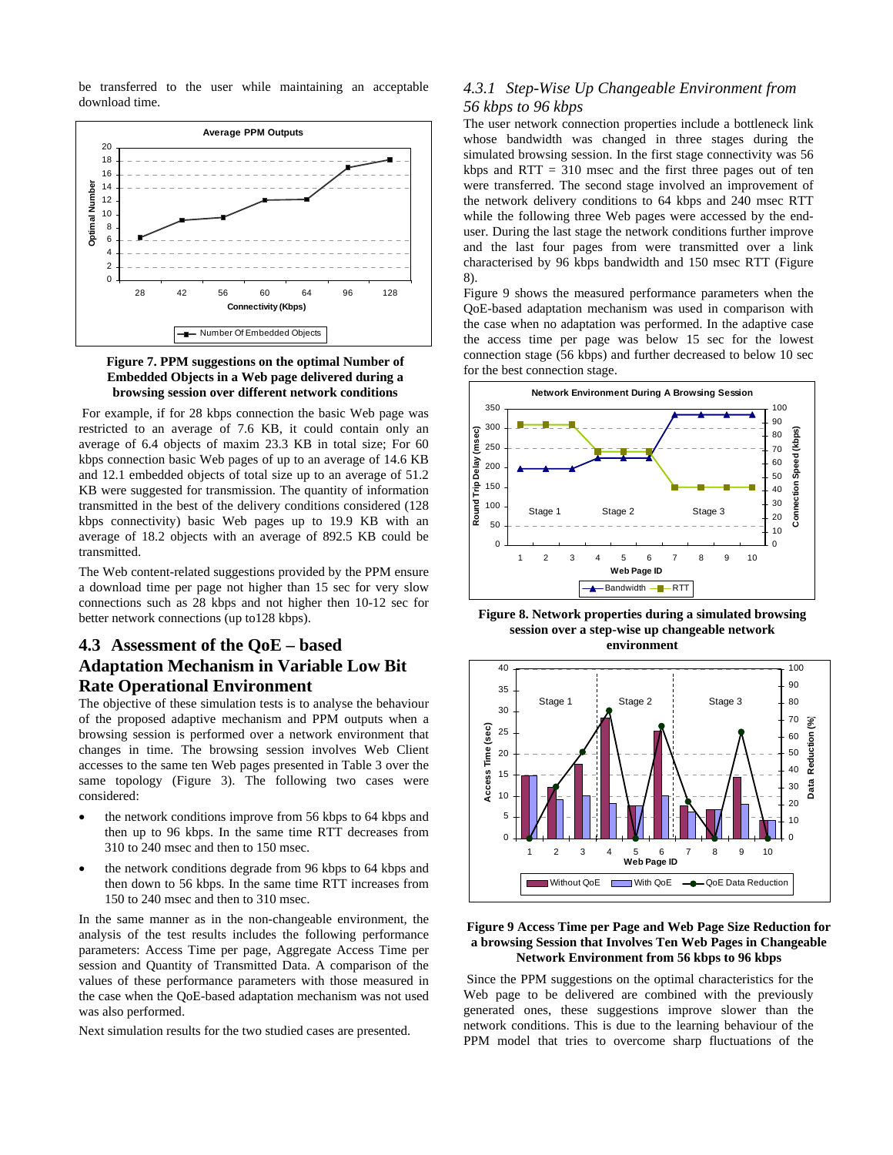be transferred to the user while maintaining an acceptable download time.



**Figure 7. PPM suggestions on the optimal Number of Embedded Objects in a Web page delivered during a browsing session over different network conditions** 

 For example, if for 28 kbps connection the basic Web page was restricted to an average of 7.6 KB, it could contain only an average of 6.4 objects of maxim 23.3 KB in total size; For 60 kbps connection basic Web pages of up to an average of 14.6 KB and 12.1 embedded objects of total size up to an average of 51.2 KB were suggested for transmission. The quantity of information transmitted in the best of the delivery conditions considered (128 kbps connectivity) basic Web pages up to 19.9 KB with an average of 18.2 objects with an average of 892.5 KB could be transmitted.

The Web content-related suggestions provided by the PPM ensure a download time per page not higher than 15 sec for very slow connections such as 28 kbps and not higher then 10-12 sec for better network connections (up to128 kbps).

# **4.3 Assessment of the QoE – based Adaptation Mechanism in Variable Low Bit Rate Operational Environment**

The objective of these simulation tests is to analyse the behaviour of the proposed adaptive mechanism and PPM outputs when a browsing session is performed over a network environment that changes in time. The browsing session involves Web Client accesses to the same ten Web pages presented in Table 3 over the same topology (Figure 3). The following two cases were considered:

- the network conditions improve from 56 kbps to 64 kbps and then up to 96 kbps. In the same time RTT decreases from 310 to 240 msec and then to 150 msec.
- the network conditions degrade from 96 kbps to 64 kbps and then down to 56 kbps. In the same time RTT increases from 150 to 240 msec and then to 310 msec.

In the same manner as in the non-changeable environment, the analysis of the test results includes the following performance parameters: Access Time per page, Aggregate Access Time per session and Quantity of Transmitted Data. A comparison of the values of these performance parameters with those measured in the case when the QoE-based adaptation mechanism was not used was also performed.

Next simulation results for the two studied cases are presented.

## *4.3.1 Step-Wise Up Changeable Environment from 56 kbps to 96 kbps*

The user network connection properties include a bottleneck link whose bandwidth was changed in three stages during the simulated browsing session. In the first stage connectivity was 56 kbps and  $RTT = 310$  msec and the first three pages out of ten were transferred. The second stage involved an improvement of the network delivery conditions to 64 kbps and 240 msec RTT while the following three Web pages were accessed by the enduser. During the last stage the network conditions further improve and the last four pages from were transmitted over a link characterised by 96 kbps bandwidth and 150 msec RTT (Figure 8).

Figure 9 shows the measured performance parameters when the QoE-based adaptation mechanism was used in comparison with the case when no adaptation was performed. In the adaptive case the access time per page was below 15 sec for the lowest connection stage (56 kbps) and further decreased to below 10 sec for the best connection stage.



**Figure 8. Network properties during a simulated browsing session over a step-wise up changeable network environment** 



#### **Figure 9 Access Time per Page and Web Page Size Reduction for a browsing Session that Involves Ten Web Pages in Changeable Network Environment from 56 kbps to 96 kbps**

 Since the PPM suggestions on the optimal characteristics for the Web page to be delivered are combined with the previously generated ones, these suggestions improve slower than the network conditions. This is due to the learning behaviour of the PPM model that tries to overcome sharp fluctuations of the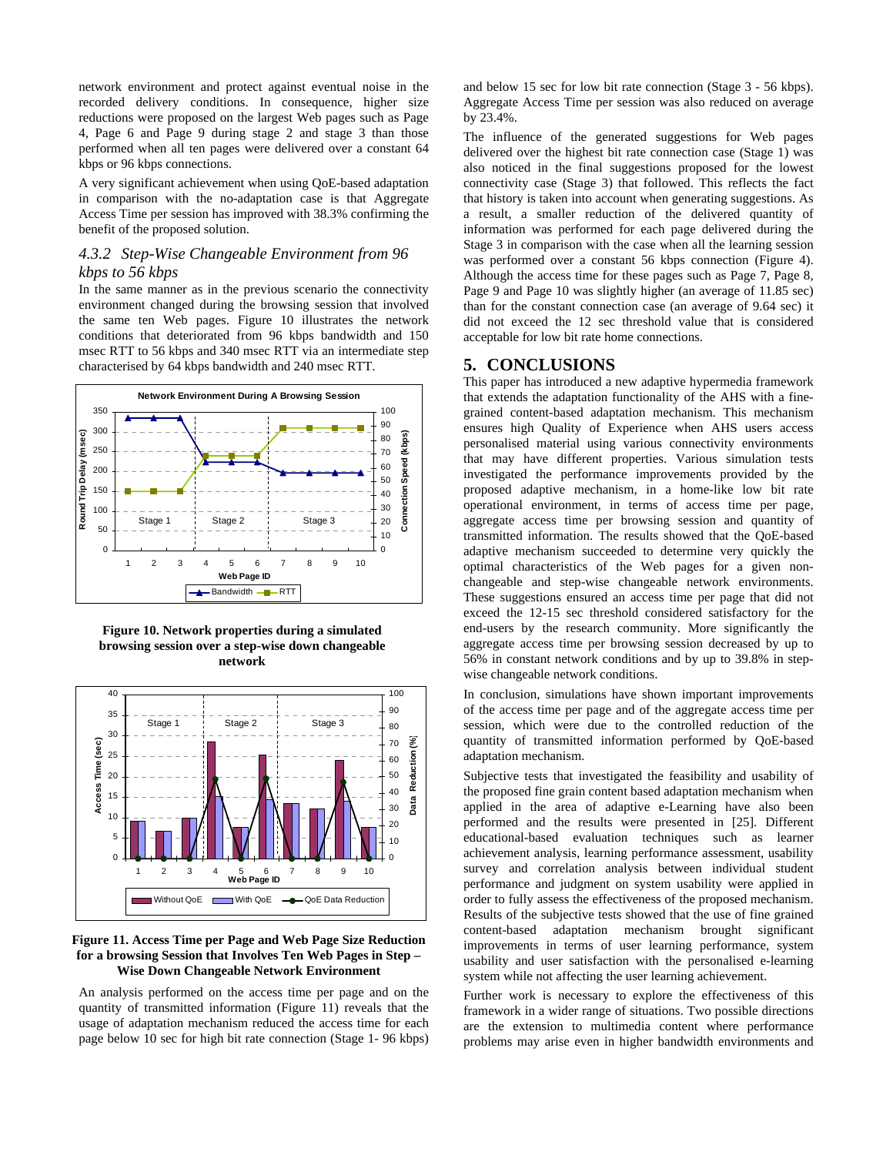network environment and protect against eventual noise in the recorded delivery conditions. In consequence, higher size reductions were proposed on the largest Web pages such as Page 4, Page 6 and Page 9 during stage 2 and stage 3 than those performed when all ten pages were delivered over a constant 64 kbps or 96 kbps connections.

A very significant achievement when using QoE-based adaptation in comparison with the no-adaptation case is that Aggregate Access Time per session has improved with 38.3% confirming the benefit of the proposed solution.

## *4.3.2 Step-Wise Changeable Environment from 96 kbps to 56 kbps*

In the same manner as in the previous scenario the connectivity environment changed during the browsing session that involved the same ten Web pages. Figure 10 illustrates the network conditions that deteriorated from 96 kbps bandwidth and 150 msec RTT to 56 kbps and 340 msec RTT via an intermediate step characterised by 64 kbps bandwidth and 240 msec RTT.



**Figure 10. Network properties during a simulated browsing session over a step-wise down changeable network** 



#### **Figure 11. Access Time per Page and Web Page Size Reduction for a browsing Session that Involves Ten Web Pages in Step – Wise Down Changeable Network Environment**

An analysis performed on the access time per page and on the quantity of transmitted information (Figure 11) reveals that the usage of adaptation mechanism reduced the access time for each page below 10 sec for high bit rate connection (Stage 1- 96 kbps) and below 15 sec for low bit rate connection (Stage 3 - 56 kbps). Aggregate Access Time per session was also reduced on average by 23.4%.

The influence of the generated suggestions for Web pages delivered over the highest bit rate connection case (Stage 1) was also noticed in the final suggestions proposed for the lowest connectivity case (Stage 3) that followed. This reflects the fact that history is taken into account when generating suggestions. As a result, a smaller reduction of the delivered quantity of information was performed for each page delivered during the Stage 3 in comparison with the case when all the learning session was performed over a constant 56 kbps connection (Figure 4). Although the access time for these pages such as Page 7, Page 8, Page 9 and Page 10 was slightly higher (an average of 11.85 sec) than for the constant connection case (an average of 9.64 sec) it did not exceed the 12 sec threshold value that is considered acceptable for low bit rate home connections.

## **5. CONCLUSIONS**

This paper has introduced a new adaptive hypermedia framework that extends the adaptation functionality of the AHS with a finegrained content-based adaptation mechanism. This mechanism ensures high Quality of Experience when AHS users access personalised material using various connectivity environments that may have different properties. Various simulation tests investigated the performance improvements provided by the proposed adaptive mechanism, in a home-like low bit rate operational environment, in terms of access time per page, aggregate access time per browsing session and quantity of transmitted information. The results showed that the QoE-based adaptive mechanism succeeded to determine very quickly the optimal characteristics of the Web pages for a given nonchangeable and step-wise changeable network environments. These suggestions ensured an access time per page that did not exceed the 12-15 sec threshold considered satisfactory for the end-users by the research community. More significantly the aggregate access time per browsing session decreased by up to 56% in constant network conditions and by up to 39.8% in stepwise changeable network conditions.

In conclusion, simulations have shown important improvements of the access time per page and of the aggregate access time per session, which were due to the controlled reduction of the quantity of transmitted information performed by QoE-based adaptation mechanism.

Subjective tests that investigated the feasibility and usability of the proposed fine grain content based adaptation mechanism when applied in the area of adaptive e-Learning have also been performed and the results were presented in [25]. Different educational-based evaluation techniques such as learner achievement analysis, learning performance assessment, usability survey and correlation analysis between individual student performance and judgment on system usability were applied in order to fully assess the effectiveness of the proposed mechanism. Results of the subjective tests showed that the use of fine grained content-based adaptation mechanism brought significant improvements in terms of user learning performance, system usability and user satisfaction with the personalised e-learning system while not affecting the user learning achievement.

Further work is necessary to explore the effectiveness of this framework in a wider range of situations. Two possible directions are the extension to multimedia content where performance problems may arise even in higher bandwidth environments and